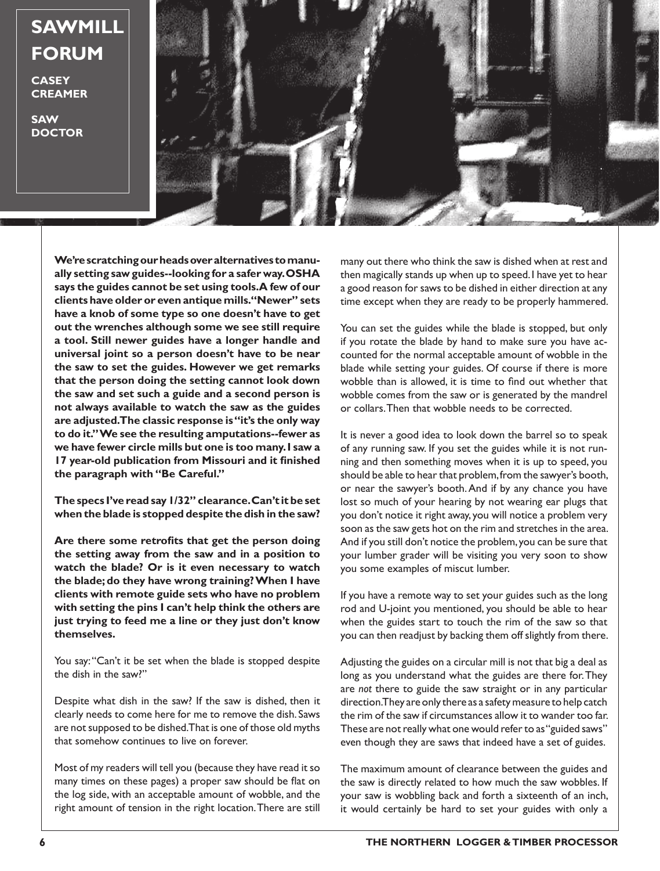## **SAWMILL FORUM**

**CASEY CREAMER**

**SAW DOCTOR**



**We're scratching our heads over alternatives to manually setting saw guides--looking for a safer way. OSHA says the guides cannot be set using tools. A few of our clients have older or even antique mills. "Newer" sets have a knob of some type so one doesn't have to get out the wrenches although some we see still require a tool. Still newer guides have a longer handle and universal joint so a person doesn't have to be near the saw to set the guides. However we get remarks that the person doing the setting cannot look down the saw and set such a guide and a second person is not always available to watch the saw as the guides are adjusted. The classic response is "it's the only way to do it." We see the resulting amputations--fewer as we have fewer circle mills but one is too many. I saw a 17 year-old publication from Missouri and it finished the paragraph with "Be Careful."** 

**The specs I've read say 1/32" clearance. Can't it be set when the blade is stopped despite the dish in the saw?** 

**Are there some retrofits that get the person doing the setting away from the saw and in a position to watch the blade? Or is it even necessary to watch the blade; do they have wrong training? When I have clients with remote guide sets who have no problem with setting the pins I can't help think the others are just trying to feed me a line or they just don't know themselves.**

You say: "Can't it be set when the blade is stopped despite the dish in the saw?"

Despite what dish in the saw? If the saw is dished, then it clearly needs to come here for me to remove the dish. Saws are not supposed to be dished. That is one of those old myths that somehow continues to live on forever.

Most of my readers will tell you (because they have read it so many times on these pages) a proper saw should be flat on the log side, with an acceptable amount of wobble, and the right amount of tension in the right location. There are still

many out there who think the saw is dished when at rest and then magically stands up when up to speed. I have yet to hear a good reason for saws to be dished in either direction at any time except when they are ready to be properly hammered.

You can set the guides while the blade is stopped, but only if you rotate the blade by hand to make sure you have accounted for the normal acceptable amount of wobble in the blade while setting your guides. Of course if there is more wobble than is allowed, it is time to find out whether that wobble comes from the saw or is generated by the mandrel or collars. Then that wobble needs to be corrected.

It is never a good idea to look down the barrel so to speak of any running saw. If you set the guides while it is not running and then something moves when it is up to speed, you should be able to hear that problem, from the sawyer's booth, or near the sawyer's booth. And if by any chance you have lost so much of your hearing by not wearing ear plugs that you don't notice it right away, you will notice a problem very soon as the saw gets hot on the rim and stretches in the area. And if you still don't notice the problem, you can be sure that your lumber grader will be visiting you very soon to show you some examples of miscut lumber.

If you have a remote way to set your guides such as the long rod and U-joint you mentioned, you should be able to hear when the guides start to touch the rim of the saw so that you can then readjust by backing them off slightly from there.

Adjusting the guides on a circular mill is not that big a deal as long as you understand what the guides are there for. They are *not* there to guide the saw straight or in any particular direction. They are only there as a safety measure to help catch the rim of the saw if circumstances allow it to wander too far. These are not really what one would refer to as "guided saws" even though they are saws that indeed have a set of guides.

The maximum amount of clearance between the guides and the saw is directly related to how much the saw wobbles. If your saw is wobbling back and forth a sixteenth of an inch, it would certainly be hard to set your guides with only a